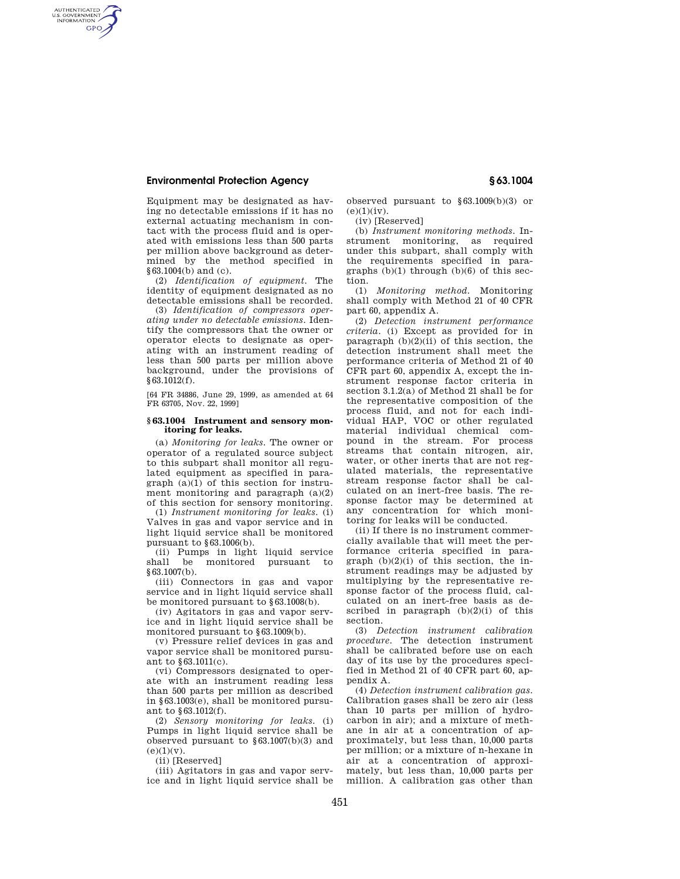## **Environmental Protection Agency § 63.1004**

AUTHENTICATED<br>U.S. GOVERNMENT<br>INFORMATION **GPO** 

> Equipment may be designated as having no detectable emissions if it has no external actuating mechanism in contact with the process fluid and is operated with emissions less than 500 parts per million above background as determined by the method specified in §63.1004(b) and (c).

> (2) *Identification of equipment.* The identity of equipment designated as no detectable emissions shall be recorded.

> (3) *Identification of compressors operating under no detectable emissions.* Identify the compressors that the owner or operator elects to designate as operating with an instrument reading of less than 500 parts per million above background, under the provisions of §63.1012(f).

[64 FR 34886, June 29, 1999, as amended at 64 FR 63705, Nov. 22, 1999]

## **§ 63.1004 Instrument and sensory monitoring for leaks.**

(a) *Monitoring for leaks.* The owner or operator of a regulated source subject to this subpart shall monitor all regulated equipment as specified in paragraph (a)(1) of this section for instrument monitoring and paragraph (a)(2) of this section for sensory monitoring.

(1) *Instrument monitoring for leaks.* (i) Valves in gas and vapor service and in light liquid service shall be monitored pursuant to §63.1006(b).

(ii) Pumps in light liquid service monitored pursuant to §63.1007(b).

(iii) Connectors in gas and vapor service and in light liquid service shall be monitored pursuant to §63.1008(b).

(iv) Agitators in gas and vapor service and in light liquid service shall be monitored pursuant to §63.1009(b).

(v) Pressure relief devices in gas and vapor service shall be monitored pursuant to §63.1011(c).

(vi) Compressors designated to operate with an instrument reading less than 500 parts per million as described in §63.1003(e), shall be monitored pursuant to §63.1012(f).

(2) *Sensory monitoring for leaks.* (i) Pumps in light liquid service shall be observed pursuant to §63.1007(b)(3) and  $(e)(1)(v).$ 

(ii) [Reserved]

(iii) Agitators in gas and vapor service and in light liquid service shall be observed pursuant to §63.1009(b)(3) or  $(e)(1)(iv)$ .

(iv) [Reserved]

(b) *Instrument monitoring methods.* Instrument monitoring, as required under this subpart, shall comply with the requirements specified in paragraphs  $(b)(1)$  through  $(b)(6)$  of this section.

(1) *Monitoring method.* Monitoring shall comply with Method 21 of 40 CFR part 60, appendix A.

(2) *Detection instrument performance criteria.* (i) Except as provided for in paragraph  $(b)(2)(ii)$  of this section, the detection instrument shall meet the performance criteria of Method 21 of 40 CFR part 60, appendix A, except the instrument response factor criteria in section 3.1.2(a) of Method 21 shall be for the representative composition of the process fluid, and not for each individual HAP, VOC or other regulated material individual chemical compound in the stream. For process streams that contain nitrogen, air, water, or other inerts that are not regulated materials, the representative stream response factor shall be calculated on an inert-free basis. The response factor may be determined at any concentration for which monitoring for leaks will be conducted.

(ii) If there is no instrument commercially available that will meet the performance criteria specified in paragraph  $(b)(2)(i)$  of this section, the instrument readings may be adjusted by multiplying by the representative response factor of the process fluid, calculated on an inert-free basis as described in paragraph (b)(2)(i) of this section.

(3) *Detection instrument calibration procedure.* The detection instrument shall be calibrated before use on each day of its use by the procedures specified in Method 21 of 40 CFR part 60, appendix A.

(4) *Detection instrument calibration gas.*  Calibration gases shall be zero air (less than 10 parts per million of hydrocarbon in air); and a mixture of methane in air at a concentration of approximately, but less than, 10,000 parts per million; or a mixture of n-hexane in air at a concentration of approximately, but less than, 10,000 parts per million. A calibration gas other than